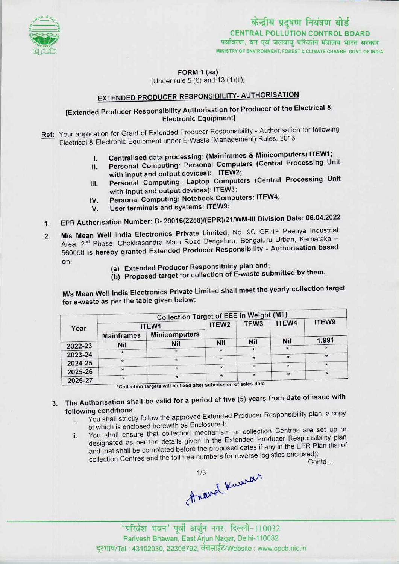

पर्यावरण, वन एवं जलवाय परिवर्तन मंत्रालय भारत सरकार MINISTRY OF ENVIRONMENT, FOREST & CLIMATE CHANGE GOVT OF INDIA केन्द्रीय प्रदूषण नियंत्रण बोर्ड CENTRAL POLLUTION CONTROL BOARD

FORM 1 (aa)

[Under rule  $5(6)$  and  $13(1)(ii)$ ]

# **EXTENDED PRODUCER RESPONSIBILITY- AUTHORISATION**

## [Extended Producer Responsibility Authorisation for Producer of the Electrical & Electronic Equipment]

Ref: Your application for Grant of Extended Producer Responsibility - Authorisation for following Electrical & Electronic Equipment under E-Waste (Management) Rules, 2016

- 
- I. Centralised data processing: (Mainframes & Minicomputers) ITEW1;<br>II. Personal Computing: Personal Computers (Central Processing Un Personal Computing: Personal Computers (Central Processing Unit with input and output devices): ITEW2;
- III. Personal Computing: Laptop Computers (Central Processing Unit with input and output devices): ITEW3; III. Personal Computing: Laptop Computers (Centra<br>with input and output devices): ITEW3;<br>IV. Personal Computing: Notebook Computers: ITEW4;
- with input and output devices): ITEW<br>V. Personal Computing: Notebook Con<br>V. User terminals and systems: ITEW9:
- 
- IV. Personal Computing: Notebook Computers: ITET.1.<br>V. User terminals and systems: ITEW9:<br>1. EPR Authorisation Number: B- 29016(2258)/(EPR)/21/WM-III Division Date: 06.04.2022
- 2. EPR Authorisation Number: B- 29016(2258)/(EPR)/21/WM-III Division Date: 06.04.202<br>2. M/s Mean Well India Electronics Private Limited, No. 9C GF-1F Peenya Industrial M/s Mean Well India Electronics Private Limited, No. 9C GF-1F Peenya Industrial<br>Area, 2<sup>nd</sup> Phase, Chokkasandra Main Road Bengaluru, Bengaluru Urban, Karnataka -Area, 2<sup>nd</sup> Phase, Chokkasandra Main Road Bengaluru, Bengaluru Siban, Kamatana<br>560058 is hereby granted Extended Producer Responsibility - Authorisation based V. User terminals and systems. HEWS.<br>
EPR Authorisation Number: B- 29016(2258)/(EPR)/21/WM-III Div<br>
M/s Mean Well India Electronics Private Limited, No. 9C GF<br>
Area, 2<sup>nd</sup> Phase, Chokkasandra Main Road Bengaluru, Bengalur<br>
	-
	- (a) Extended Producer Responsibility plan and;<br>(b) Proposed target for collection of E-waste submitted by them.

M/s Mean Well India Electronics Private Limited shall meetthe yearly collection target for e-waste as per the table given below:

|         | <b>Collection Target of EEE in Weight (MT)</b> |                                                                                                       |                   |                   |            |         |
|---------|------------------------------------------------|-------------------------------------------------------------------------------------------------------|-------------------|-------------------|------------|---------|
| Year    | ITEW1                                          |                                                                                                       | ITEW <sub>2</sub> | ITEW <sub>3</sub> | ITEW4      | ITEW9   |
|         | <b>Mainframes</b>                              | <b>Minicomputers</b>                                                                                  |                   |                   |            |         |
| 2022-23 | <b>Nil</b>                                     | Nil                                                                                                   | Nil               | <b>Nil</b>        | <b>Nil</b> | 1.991   |
| 2023-24 |                                                |                                                                                                       |                   | $\star$           |            |         |
| 2024-25 |                                                |                                                                                                       | $\star$           |                   | $\star$    |         |
|         | $\star$                                        |                                                                                                       | $\star$           | $\star$           |            | $\star$ |
| 2025-26 |                                                |                                                                                                       |                   | $\star$           |            |         |
| 2026-27 | $\star$                                        | $\ldots$ $\ldots$ $\ldots$ $\ldots$ $\ldots$ $\ldots$ $\ldots$ $\ldots$ $\ldots$<br><b>CONTRACTOR</b> |                   |                   |            |         |

\*Collection targets will be fixed after submission of sales data

## 3. The Authorisation shall be valid for a period of five (5) years from date of issue with following conditions:

- i. You shall strictly follow the approved Extended Producer Responsibility plan, a copy of which is enclosed herewith as Enclosure-I;
- ii. You shall ensure that collection mechanism or collection Centres are set up or designated as per the details given in the Extended Producer Responsibility plan and that shall be completed before the proposed dates if any in the EPR Plan (list of collection Centres and the toll free numbers for reverse logistics enclosed);

Contd...

Anavel Kurra

'परिवेश भवन' पूर्वी अर्जुन नगर, दिल्ली-110032 Parivesh Bhawan, EastArjun Nagar, Deihi-110032 दूरभाष/Tel : 43102030, 22305792, वेबसाईट/Website : www.cpcb.nic.in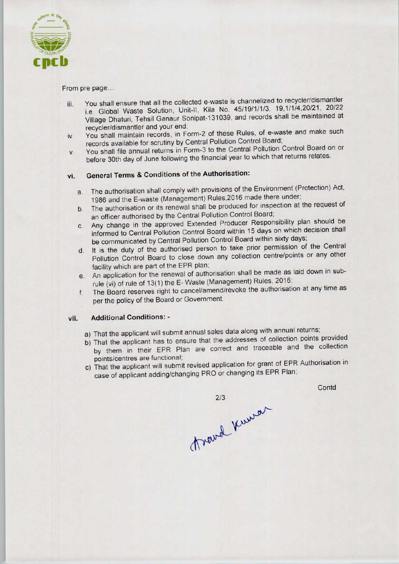

### From pre page...

- iii. You shall ensure that all the collected e-waste is channelized to recycler/dismantler i.e. Global Waste Solution, Unit-ll, Kila No, 45/19/1/1/3, 19,1/1/4,20/21, 20/22 Village Dhaturi, Tehsil Ganaur Sonipat-131039, and records shall be maintained at recycler/dismantler and your end;
- iv. You shall maintain records, in Form-2 of these Rules, of e-waste and make such records available for scrutiny by Central Pollution Control Board;
- v. You shall file annual returnsin Form-3 to the Central Pollution Control Board on or before 30th day of June following the financial year to which that returns relates.

## vi. General Terms & Conditions of the Authorisation:

- a. The authorisation shall comply with provisions of the Environment (Protection) Act, 1986 and the E-waste (Management) Rules,2016 made there under;
- b. The authorisation or its renewal shall be produced for inspection at the request of an officer authorised by the Central Pollution Control Board;
- c.Any change in the approved Extended Producer Responsibility plan should be informed to Central Pollution Control Board within 15 days on which decision shall be communicated by Central Pollution Control Board within sixty days;
- d. It is the duty of the authorised person to take prior permission of the Central Pollution Control Board to close down any collection centre/points or any other facility which are part of the EPR plan;
- e. An application for the renewal of authorisation shall be made as laid down in subrule (vi) of rule of 13(1) the E- Waste (Management) Rules, 2016;
- f. The Board reserves right to cancel/amend/revoke the authorisation at any time as per the policy of the Board or Government.

## vii. Additional Conditions: -

- a) That the applicant will submit annual sales data along with annual returns;
- b)That the applicant has to ensure that the addresses of collection points provided by them in their EPR Plan are correct and traceable and the collection points/centres are functional;
- c) That the applicant will submit revised application for grant of EPR Authorisation in case of applicant adding/changing PRO or changing its EPR Plan;

**Contd** 

 $2/3$ thewal knewar